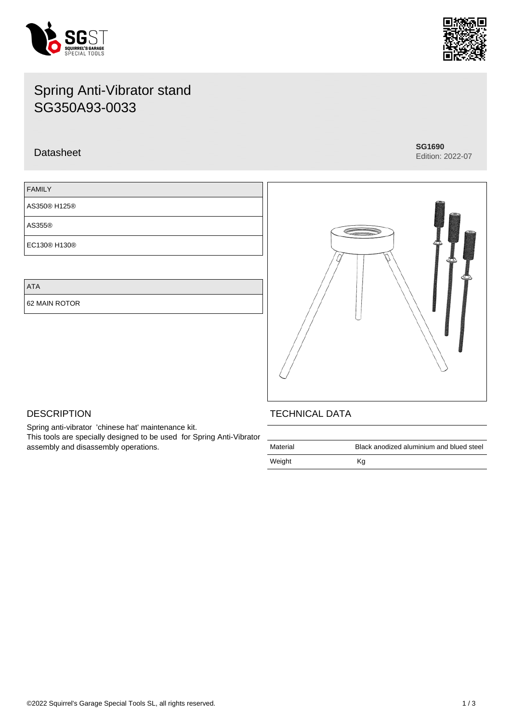



# Spring Anti-Vibrator stand SG350A93-0033

## Datasheet **SG1690**

Edition: 2022-07

| <b>FAMILY</b> |  |
|---------------|--|
| AS350® H125®  |  |
| AS355®        |  |
| EC130® H130®  |  |

ATA

62 MAIN ROTOR



## **DESCRIPTION**

Spring anti-vibrator 'chinese hat' maintenance kit. This tools are specially designed to be used for Spring Anti-Vibrator assembly and disassembly operations.

## TECHNICAL DATA

| Material | Black anodized aluminium and blued steel |
|----------|------------------------------------------|
| Weight   | Κq                                       |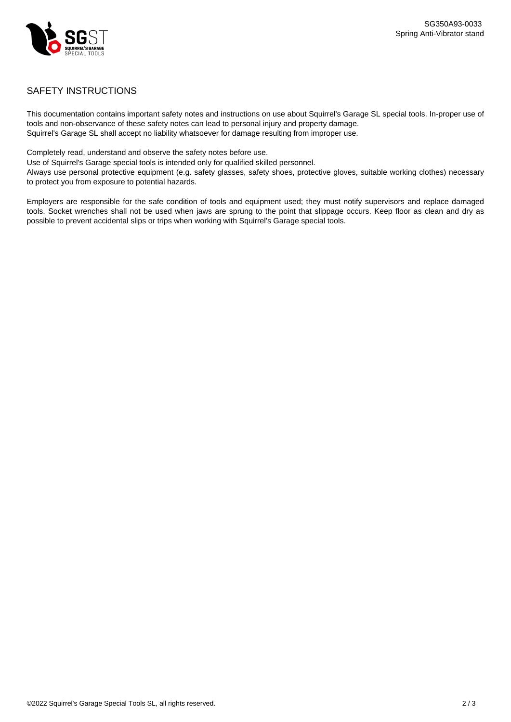

### SAFETY INSTRUCTIONS

This documentation contains important safety notes and instructions on use about Squirrel's Garage SL special tools. In-proper use of tools and non-observance of these safety notes can lead to personal injury and property damage. Squirrel's Garage SL shall accept no liability whatsoever for damage resulting from improper use.

Completely read, understand and observe the safety notes before use.

Use of Squirrel's Garage special tools is intended only for qualified skilled personnel.

Always use personal protective equipment (e.g. safety glasses, safety shoes, protective gloves, suitable working clothes) necessary to protect you from exposure to potential hazards.

Employers are responsible for the safe condition of tools and equipment used; they must notify supervisors and replace damaged tools. Socket wrenches shall not be used when jaws are sprung to the point that slippage occurs. Keep floor as clean and dry as possible to prevent accidental slips or trips when working with Squirrel's Garage special tools.